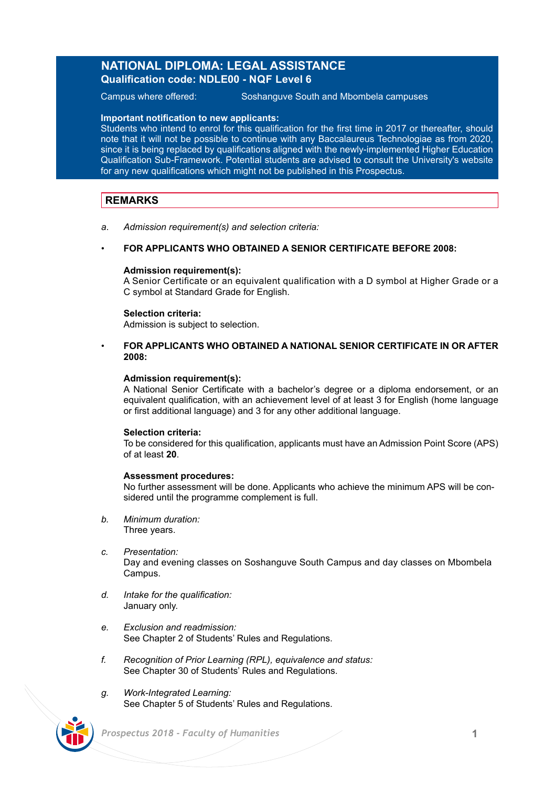## **NATIONAL DIPLOMA: LEGAL ASSISTANCE Qualification code: NDLE00 - NQF Level 6**

Campus where offered: Soshanguve South and Mbombela campuses

### **Important notification to new applicants:**

Students who intend to enrol for this qualification for the first time in 2017 or thereafter, should note that it will not be possible to continue with any Baccalaureus Technologiae as from 2020, since it is being replaced by qualifications aligned with the newly-implemented Higher Education Qualification Sub-Framework. Potential students are advised to consult the University's website for any new qualifications which might not be published in this Prospectus.

## **REMARKS**

*a*. *Admission requirement(s) and selection criteria:*

### • **FOR APPLICANTS WHO OBTAINED A SENIOR CERTIFICATE BEFORE 2008:**

### **Admission requirement(s):**

A Senior Certificate or an equivalent qualification with a D symbol at Higher Grade or a C symbol at Standard Grade for English.

### **Selection criteria:**

Admission is subject to selection.

## • **FOR APPLICANTS WHO OBTAINED A NATIONAL SENIOR CERTIFICATE IN OR AFTER 2008:**

### **Admission requirement(s):**

A National Senior Certificate with a bachelor's degree or a diploma endorsement, or an equivalent qualification, with an achievement level of at least 3 for English (home language or first additional language) and 3 for any other additional language.

### **Selection criteria:**

To be considered for this qualification, applicants must have an Admission Point Score (APS) of at least **20**.

### **Assessment procedures:**

No further assessment will be done. Applicants who achieve the minimum APS will be considered until the programme complement is full.

- *b. Minimum duration:* Three years.
- *c. Presentation:*  Day and evening classes on Soshanguve South Campus and day classes on Mbombela Campus.
- *d. Intake for the qualification:* January only.
- *e. Exclusion and readmission:* See Chapter 2 of Students' Rules and Regulations.
- *f. Recognition of Prior Learning (RPL), equivalence and status:* See Chapter 30 of Students' Rules and Regulations.
- *g. Work-Integrated Learning:*  See Chapter 5 of Students' Rules and Regulations.



 *Prospectus 2018 - Faculty of Humanities* **1**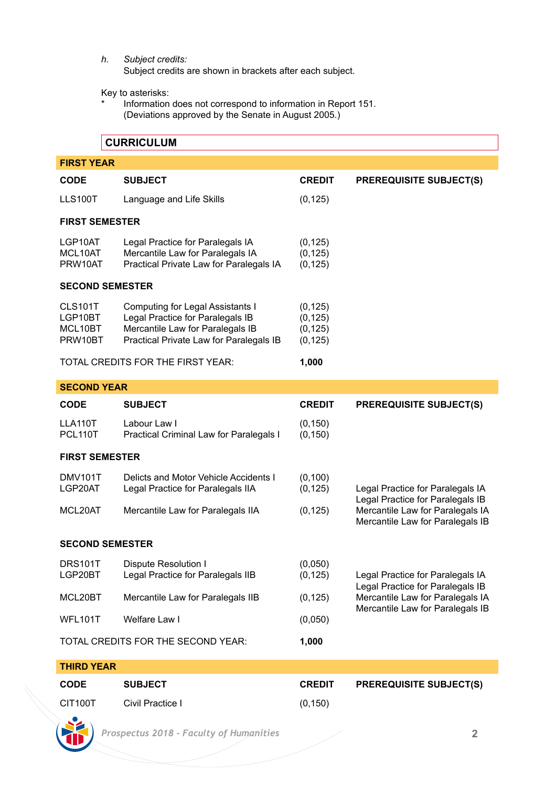*h. Subject credits:*

Subject credits are shown in brackets after each subject.

Key to asterisks:

Information does not correspond to information in Report 151. (Deviations approved by the Senate in August 2005.)

# **CURRICULUM**

| <b>FIRST YEAR</b>                          |                                                                                                                                                     |                                              |                                                                                                                                              |  |  |
|--------------------------------------------|-----------------------------------------------------------------------------------------------------------------------------------------------------|----------------------------------------------|----------------------------------------------------------------------------------------------------------------------------------------------|--|--|
| CODE                                       | <b>SUBJECT</b>                                                                                                                                      | <b>CREDIT</b>                                | <b>PREREQUISITE SUBJECT(S)</b>                                                                                                               |  |  |
| LLS100T                                    | Language and Life Skills                                                                                                                            | (0, 125)                                     |                                                                                                                                              |  |  |
| <b>FIRST SEMESTER</b>                      |                                                                                                                                                     |                                              |                                                                                                                                              |  |  |
| LGP10AT<br>MCL10AT<br>PRW10AT              | Legal Practice for Paralegals IA<br>Mercantile Law for Paralegals IA<br>Practical Private Law for Paralegals IA                                     | (0, 125)<br>(0, 125)<br>(0, 125)             |                                                                                                                                              |  |  |
| <b>SECOND SEMESTER</b>                     |                                                                                                                                                     |                                              |                                                                                                                                              |  |  |
| CLS101T<br>LGP10BT<br>MCL10BT<br>PRW10BT   | Computing for Legal Assistants I<br>Legal Practice for Paralegals IB<br>Mercantile Law for Paralegals IB<br>Practical Private Law for Paralegals IB | (0, 125)<br>(0, 125)<br>(0, 125)<br>(0, 125) |                                                                                                                                              |  |  |
| TOTAL CREDITS FOR THE FIRST YEAR:<br>1,000 |                                                                                                                                                     |                                              |                                                                                                                                              |  |  |
| <b>SECOND YEAR</b>                         |                                                                                                                                                     |                                              |                                                                                                                                              |  |  |
| CODE                                       | <b>SUBJECT</b>                                                                                                                                      | <b>CREDIT</b>                                | <b>PREREQUISITE SUBJECT(S)</b>                                                                                                               |  |  |
| LLA110T<br>PCL110T                         | Labour Law I<br>Practical Criminal Law for Paralegals I                                                                                             | (0, 150)<br>(0, 150)                         |                                                                                                                                              |  |  |
| <b>FIRST SEMESTER</b>                      |                                                                                                                                                     |                                              |                                                                                                                                              |  |  |
| DMV101T<br>LGP20AT                         | Delicts and Motor Vehicle Accidents I<br>Legal Practice for Paralegals IIA                                                                          | (0, 100)<br>(0, 125)                         | Legal Practice for Paralegals IA<br>Legal Practice for Paralegals IB                                                                         |  |  |
| MCL20AT                                    | Mercantile Law for Paralegals IIA                                                                                                                   | (0, 125)                                     | Mercantile Law for Paralegals IA<br>Mercantile Law for Paralegals IB                                                                         |  |  |
| <b>SECOND SEMESTER</b>                     |                                                                                                                                                     |                                              |                                                                                                                                              |  |  |
| DRS101T<br>LGP20BT                         | Dispute Resolution I<br>Legal Practice for Paralegals IIB                                                                                           | (0,050)<br>(0, 125)                          | Legal Practice for Paralegals IA<br>Legal Practice for Paralegals IB<br>Mercantile Law for Paralegals IA<br>Mercantile Law for Paralegals IB |  |  |
| MCL20BT                                    | Mercantile Law for Paralegals IIB                                                                                                                   | (0, 125)                                     |                                                                                                                                              |  |  |
| WFL101T                                    | Welfare Law I                                                                                                                                       | (0,050)                                      |                                                                                                                                              |  |  |
|                                            | TOTAL CREDITS FOR THE SECOND YEAR:                                                                                                                  | 1.000                                        |                                                                                                                                              |  |  |

**THIRD YEAR CODE SUBJECT CREDIT PREREQUISITE SUBJECT(S)** CIT100T Civil Practice I (0,150)

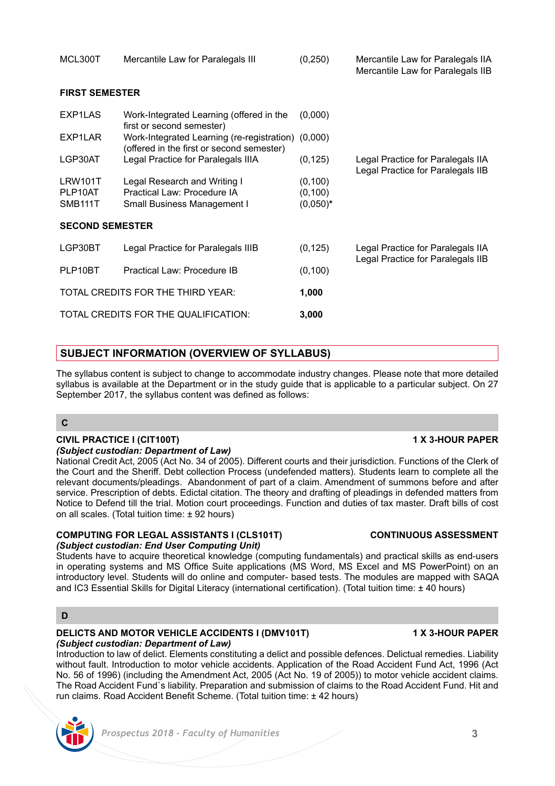|                                      |                                                                                            |                                     | Mercantile Law for Paralegals IIB                                      |
|--------------------------------------|--------------------------------------------------------------------------------------------|-------------------------------------|------------------------------------------------------------------------|
| <b>FIRST SEMESTER</b>                |                                                                                            |                                     |                                                                        |
| EXP1LAS                              | Work-Integrated Learning (offered in the<br>first or second semester)                      | (0,000)                             |                                                                        |
| EXP1LAR                              | Work-Integrated Learning (re-registration) (0,000)                                         |                                     |                                                                        |
| LGP30AT                              | (offered in the first or second semester)<br>Legal Practice for Paralegals IIIA            | (0, 125)                            | Legal Practice for Paralegals IIA<br>Legal Practice for Paralegals IIB |
| LRW101T<br>PLP10AT<br><b>SMB111T</b> | Legal Research and Writing I<br>Practical Law: Procedure IA<br>Small Business Management I | (0, 100)<br>(0, 100)<br>$(0,050)^*$ |                                                                        |
| <b>SECOND SEMESTER</b>               |                                                                                            |                                     |                                                                        |
| LGP30BT                              | Legal Practice for Paralegals IIIB                                                         | (0, 125)                            | Legal Practice for Paralegals IIA                                      |
| PLP10BT                              | Practical Law: Procedure IB                                                                | (0, 100)                            | Legal Practice for Paralegals IIB                                      |
|                                      | TOTAL CREDITS FOR THE THIRD YEAR:                                                          | 1,000                               |                                                                        |
|                                      | TOTAL CREDITS FOR THE QUALIFICATION:                                                       | 3,000                               |                                                                        |

# **SUBJECT INFORMATION (OVERVIEW OF SYLLABUS)**

The syllabus content is subject to change to accommodate industry changes. Please note that more detailed syllabus is available at the Department or in the study guide that is applicable to a particular subject. On 27 September 2017, the syllabus content was defined as follows:

## **C**

### **CIVIL PRACTICE I (CIT100T) 1 X 3-HOUR PAPER** *(Subject custodian: Department of Law)*

National Credit Act, 2005 (Act No. 34 of 2005). Different courts and their jurisdiction. Functions of the Clerk of the Court and the Sheriff. Debt collection Process (undefended matters). Students learn to complete all the relevant documents/pleadings. Abandonment of part of a claim. Amendment of summons before and after service. Prescription of debts. Edictal citation. The theory and drafting of pleadings in defended matters from Notice to Defend till the trial. Motion court proceedings. Function and duties of tax master. Draft bills of cost on all scales. (Total tuition time: ± 92 hours)

### **COMPUTING FOR LEGAL ASSISTANTS I (CLS101T) CONTINUOUS ASSESSMENT** *(Subject custodian: End User Computing Unit)*

Students have to acquire theoretical knowledge (computing fundamentals) and practical skills as end-users in operating systems and MS Office Suite applications (MS Word, MS Excel and MS PowerPoint) on an introductory level. Students will do online and computer- based tests. The modules are mapped with SAQA and IC3 Essential Skills for Digital Literacy (international certification). (Total tuition time: ± 40 hours)

# **D**

### **DELICTS AND MOTOR VEHICLE ACCIDENTS I (DMV101T) 4X 3-HOUR PAPER** *(Subject custodian: Department of Law)*

Introduction to law of delict. Elements constituting a delict and possible defences. Delictual remedies. Liability without fault. Introduction to motor vehicle accidents. Application of the Road Accident Fund Act, 1996 (Act No. 56 of 1996) (including the Amendment Act, 2005 (Act No. 19 of 2005)) to motor vehicle accident claims. The Road Accident Fund`s liability. Preparation and submission of claims to the Road Accident Fund. Hit and run claims. Road Accident Benefit Scheme. (Total tuition time: ± 42 hours)

# *Prospectus 2018 - Faculty of Humanities* **3**

MCL300T Mercantile Law for Paralegals III (0,250) Mercantile Law for Paralegals IIA

| I | <sup>2</sup> rospe |
|---|--------------------|
|   |                    |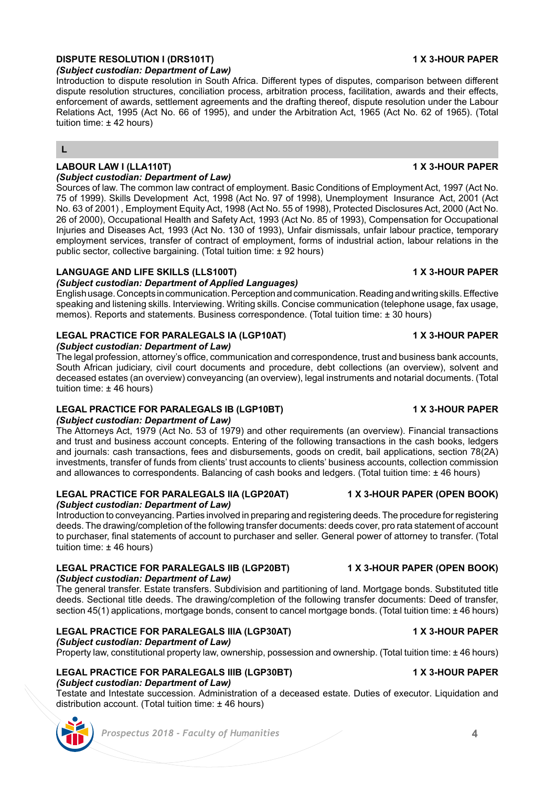# **DISPUTE RESOLUTION I (DRS101T)** 1 1 A 2-HOUR PAPER

*(Subject custodian: Department of Law)*

Introduction to dispute resolution in South Africa. Different types of disputes, comparison between different dispute resolution structures, conciliation process, arbitration process, facilitation, awards and their effects, enforcement of awards, settlement agreements and the drafting thereof, dispute resolution under the Labour Relations Act, 1995 (Act No. 66 of 1995), and under the Arbitration Act, 1965 (Act No. 62 of 1965). (Total tuition time: ± 42 hours)

**L**

### **LABOUR LAW I (LLA110T) 1 X 3-HOUR PAPER** *(Subject custodian: Department of Law)*

Sources of law. The common law contract of employment. Basic Conditions of Employment Act, 1997 (Act No. 75 of 1999). Skills Development Act, 1998 (Act No. 97 of 1998), Unemployment Insurance Act, 2001 (Act No. 63 of 2001) , Employment Equity Act, 1998 (Act No. 55 of 1998), Protected Disclosures Act, 2000 (Act No. 26 of 2000), Occupational Health and Safety Act, 1993 (Act No. 85 of 1993), Compensation for Occupational Injuries and Diseases Act, 1993 (Act No. 130 of 1993), Unfair dismissals, unfair labour practice, temporary employment services, transfer of contract of employment, forms of industrial action, labour relations in the public sector, collective bargaining. (Total tuition time: ± 92 hours)

## **LANGUAGE AND LIFE SKILLS (LLS100T) 1 X 3-HOUR PAPER**

# *(Subject custodian: Department of Applied Languages)*

English usage. Concepts in communication. Perception and communication. Reading and writing skills. Effective speaking and listening skills. Interviewing. Writing skills. Concise communication (telephone usage, fax usage, memos). Reports and statements. Business correspondence. (Total tuition time: ± 30 hours)

# **LEGAL PRACTICE FOR PARALEGALS IA (LGP10AT) 1 X 3-HOUR PAPER**

## *(Subject custodian: Department of Law)*

The legal profession, attorney's office, communication and correspondence, trust and business bank accounts, South African judiciary, civil court documents and procedure, debt collections (an overview), solvent and deceased estates (an overview) conveyancing (an overview), legal instruments and notarial documents. (Total tuition time: ± 46 hours)

# **LEGAL PRACTICE FOR PARALEGALS IB (LGP10BT) 1 X 3-HOUR PAPER**

## *(Subject custodian: Department of Law)*

The Attorneys Act, 1979 (Act No. 53 of 1979) and other requirements (an overview). Financial transactions and trust and business account concepts. Entering of the following transactions in the cash books, ledgers and journals: cash transactions, fees and disbursements, goods on credit, bail applications, section 78(2A) investments, transfer of funds from clients' trust accounts to clients' business accounts, collection commission and allowances to correspondents. Balancing of cash books and ledgers. (Total tuition time: ± 46 hours)

### **LEGAL PRACTICE FOR PARALEGALS IIA (LGP20AT) 1 X 3-HOUR PAPER (OPEN BOOK)** *(Subject custodian: Department of Law)*

Introduction to conveyancing. Parties involved in preparing and registering deeds. The procedure for registering deeds. The drawing/completion of the following transfer documents: deeds cover, pro rata statement of account to purchaser, final statements of account to purchaser and seller. General power of attorney to transfer. (Total tuition time: ± 46 hours)

# **LEGAL PRACTICE FOR PARALEGALS IIB (LGP20BT) 1 X 3-HOUR PAPER (OPEN BOOK)**

## *(Subject custodian: Department of Law)*

The general transfer. Estate transfers. Subdivision and partitioning of land. Mortgage bonds. Substituted title deeds. Sectional title deeds. The drawing/completion of the following transfer documents: Deed of transfer, section 45(1) applications, mortgage bonds, consent to cancel mortgage bonds. (Total tuition time: ± 46 hours)

# **LEGAL PRACTICE FOR PARALEGALS IIIA (LGP30AT) 1 X 3-HOUR PAPER**

*(Subject custodian: Department of Law)*

Property law, constitutional property law, ownership, possession and ownership. (Total tuition time: ± 46 hours)

### **LEGAL PRACTICE FOR PARALEGALS IIIB (LGP30BT) 1 X 3-HOUR PAPER** *(Subject custodian: Department of Law)*

Testate and Intestate succession. Administration of a deceased estate. Duties of executor. Liquidation and distribution account. (Total tuition time: ± 46 hours)

## *Prospectus 2018 - Faculty of Humanities* **4**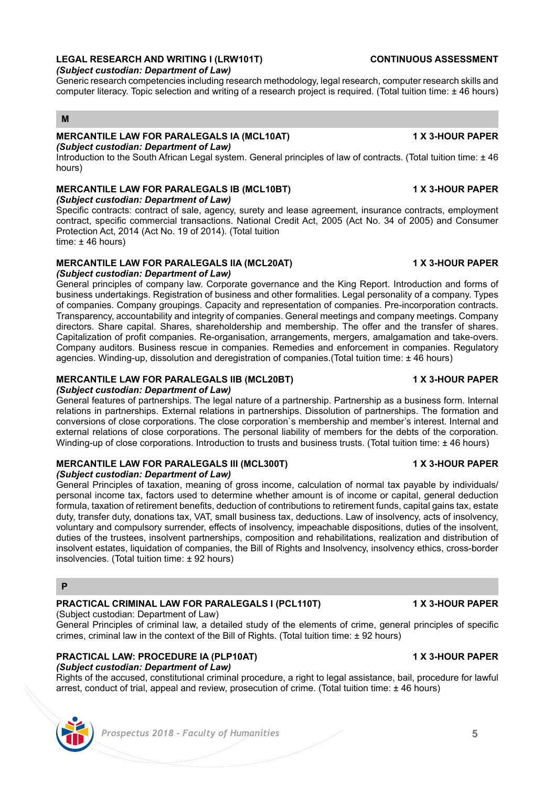# **LEGAL RESEARCH AND WRITING I (LRW101T) CONTINUOUS ASSESSMENT**

## *(Subject custodian: Department of Law)*

Generic research competencies including research methodology, legal research, computer research skills and computer literacy. Topic selection and writing of a research project is required. (Total tuition time: ± 46 hours)

## **M**

# **MERCANTILE LAW FOR PARALEGALS IA (MCL10AT) 1 X 3-HOUR PAPER**

*(Subject custodian: Department of Law)*

Introduction to the South African Legal system. General principles of law of contracts. (Total tuition time: ± 46 hours)

## **MERCANTILE LAW FOR PARALEGALS IB (MCL10BT) 1 X 3-HOUR PAPER**

*(Subject custodian: Department of Law)*

Specific contracts: contract of sale, agency, surety and lease agreement, insurance contracts, employment contract, specific commercial transactions. National Credit Act, 2005 (Act No. 34 of 2005) and Consumer Protection Act, 2014 (Act No. 19 of 2014). (Total tuition time: ± 46 hours)

## **MERCANTILE LAW FOR PARALEGALS IIA (MCL20AT) 1 X 3-HOUR PAPER**

*(Subject custodian: Department of Law)*

General principles of company law. Corporate governance and the King Report. Introduction and forms of business undertakings. Registration of business and other formalities. Legal personality of a company. Types of companies. Company groupings. Capacity and representation of companies. Pre-incorporation contracts. Transparency, accountability and integrity of companies. General meetings and company meetings. Company directors. Share capital. Shares, shareholdership and membership. The offer and the transfer of shares. Capitalization of profit companies. Re-organisation, arrangements, mergers, amalgamation and take-overs. Company auditors. Business rescue in companies. Remedies and enforcement in companies. Regulatory agencies. Winding-up, dissolution and deregistration of companies.(Total tuition time: ± 46 hours)

## **MERCANTILE LAW FOR PARALEGALS IIB (MCL20BT) 1 X 3-HOUR PAPER**

*(Subject custodian: Department of Law)* General features of partnerships. The legal nature of a partnership. Partnership as a business form. Internal relations in partnerships. External relations in partnerships. Dissolution of partnerships. The formation and conversions of close corporations. The close corporation`s membership and member's interest. Internal and external relations of close corporations. The personal liability of members for the debts of the corporation. Winding-up of close corporations. Introduction to trusts and business trusts. (Total tuition time: ± 46 hours)

### **MERCANTILE LAW FOR PARALEGALS III (MCL300T) 1 X 3-HOUR PAPER** *(Subject custodian: Department of Law)*

General Principles of taxation, meaning of gross income, calculation of normal tax payable by individuals/ personal income tax, factors used to determine whether amount is of income or capital, general deduction formula, taxation of retirement benefits, deduction of contributions to retirement funds, capital gains tax, estate duty, transfer duty, donations tax, VAT, small business tax, deductions. Law of insolvency, acts of insolvency, voluntary and compulsory surrender, effects of insolvency, impeachable dispositions, duties of the insolvent, duties of the trustees, insolvent partnerships, composition and rehabilitations, realization and distribution of insolvent estates, liquidation of companies, the Bill of Rights and Insolvency, insolvency ethics, cross-border insolvencies. (Total tuition time: ± 92 hours)

### **P**

## **PRACTICAL CRIMINAL LAW FOR PARALEGALS I (PCL110T) 1 X 3-HOUR PAPER**

(Subject custodian: Department of Law)

General Principles of criminal law, a detailed study of the elements of crime, general principles of specific crimes, criminal law in the context of the Bill of Rights. (Total tuition time: ± 92 hours)

### **PRACTICAL LAW: PROCEDURE IA (PLP10AT) 1 X 3-HOUR PAPER** *(Subject custodian: Department of Law)*

Rights of the accused, constitutional criminal procedure, a right to legal assistance, bail, procedure for lawful arrest, conduct of trial, appeal and review, prosecution of crime. (Total tuition time: ± 46 hours)